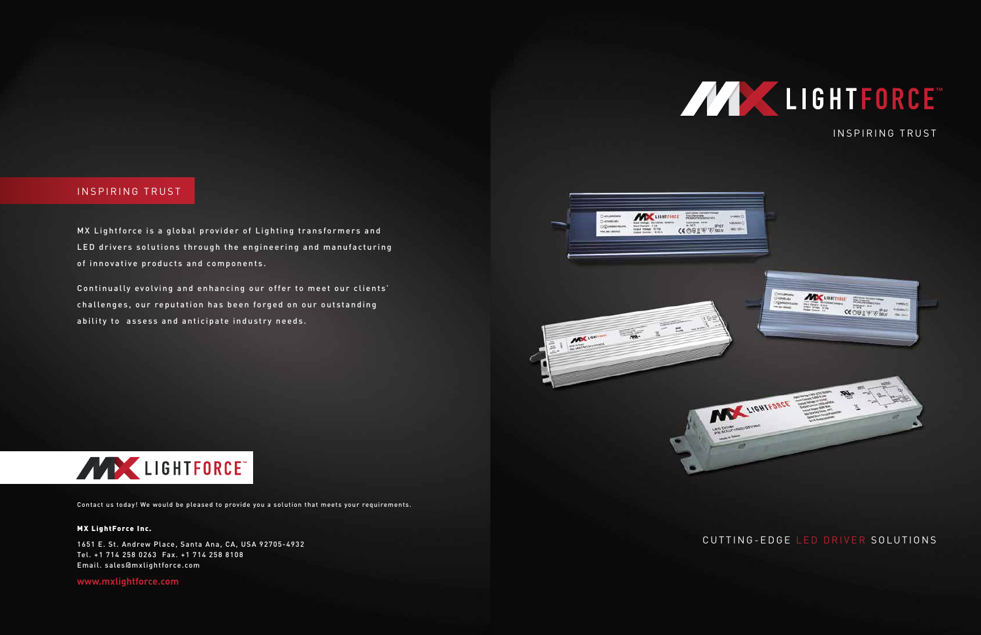### INSPIRING TRUST

MX Lightforce is a global provider of Lighting transformers and LED drivers solutions through the engineering and manufacturing of innovative products and components.

Continually evolving and enhancing our offer to meet our clients' challenges, our reputation has been forged on our outstanding ability to assess and anticipate industry needs.



**www.mxlightforce.com**

#### MX LightForce Inc.

1651 E. St. Andrew Place, Santa Ana, CA, USA 92705-4932 Tel. +1 714 258 0263 Fax. +1 714 258 8108 Email. sales@mxlightforce.com

Contact us today! We would be pleased to provide you a solution that meets your requirements.

CUTTING-EDGE LED DRIVER SOLUTIONS